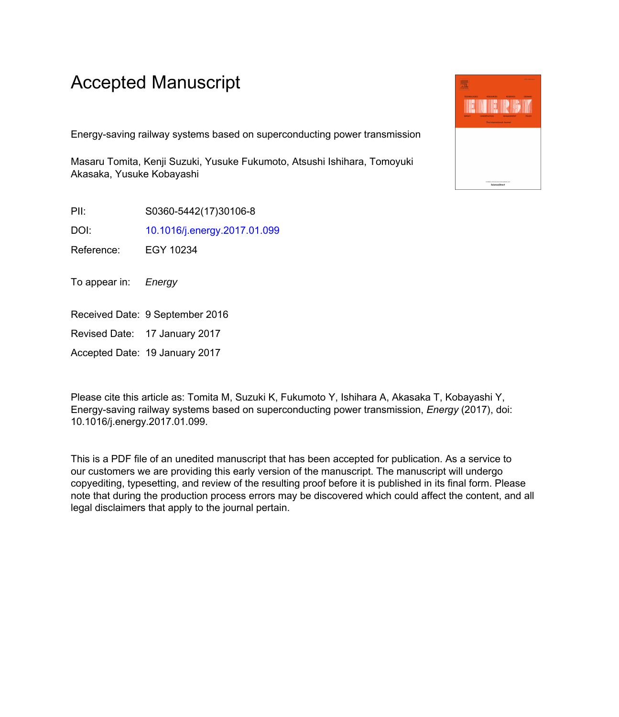## Accepted Manuscript

Energy-saving railway systems based on superconducting power transmission

Masaru Tomita, Kenji Suzuki, Yusuke Fukumoto, Atsushi Ishihara, Tomoyuki Akasaka, Yusuke Kobayashi

PII: S0360-5442(17)30106-8

DOI: [10.1016/j.energy.2017.01.099](http://dx.doi.org/10.1016/j.energy.2017.01.099)

Reference: EGY 10234

To appear in: Energy

Received Date: 9 September 2016

Revised Date: 17 January 2017

Accepted Date: 19 January 2017

Please cite this article as: Tomita M, Suzuki K, Fukumoto Y, Ishihara A, Akasaka T, Kobayashi Y, Energy-saving railway systems based on superconducting power transmission, *Energy* (2017), doi: 10.1016/j.energy.2017.01.099.

This is a PDF file of an unedited manuscript that has been accepted for publication. As a service to our customers we are providing this early version of the manuscript. The manuscript will undergo copyediting, typesetting, and review of the resulting proof before it is published in its final form. Please note that during the production process errors may be discovered which could affect the content, and all legal disclaimers that apply to the journal pertain.

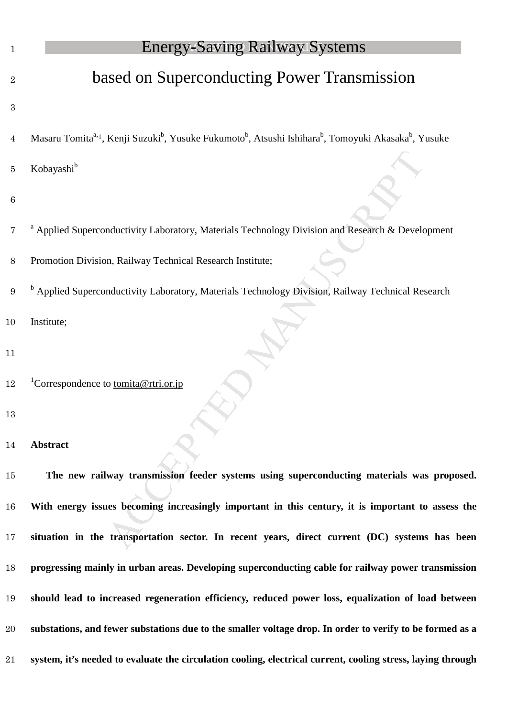| $\mathbf 1$      | <b>Energy-Saving Railway Systems</b>                                                                                                                              |
|------------------|-------------------------------------------------------------------------------------------------------------------------------------------------------------------|
| $\overline{2}$   | based on Superconducting Power Transmission                                                                                                                       |
| $\boldsymbol{3}$ |                                                                                                                                                                   |
| $\overline{4}$   | Masaru Tomita <sup>a, 1</sup> , Kenji Suzuki <sup>b</sup> , Yusuke Fukumoto <sup>b</sup> , Atsushi Ishihara <sup>b</sup> , Tomoyuki Akasaka <sup>b</sup> , Yusuke |
| 5                | Kobayashi <sup>b</sup>                                                                                                                                            |
| $\,6\,$          |                                                                                                                                                                   |
| 7                | <sup>a</sup> Applied Superconductivity Laboratory, Materials Technology Division and Research & Development                                                       |
| $8\,$            | Promotion Division, Railway Technical Research Institute;                                                                                                         |
| 9                | <sup>b</sup> Applied Superconductivity Laboratory, Materials Technology Division, Railway Technical Research                                                      |
| 10               | Institute;                                                                                                                                                        |
| 11               |                                                                                                                                                                   |
| 12               | <sup>1</sup> Correspondence to tomita@rtri.or.jp                                                                                                                  |
| 13               |                                                                                                                                                                   |
| 14               | <b>Abstract</b>                                                                                                                                                   |
| 15               | The new railway transmission feeder systems using superconducting materials was proposed.                                                                         |
| 16               | With energy issues becoming increasingly important in this century, it is important to assess the                                                                 |
| 17               | situation in the transportation sector. In recent years, direct current (DC) systems has been                                                                     |
| 18               | progressing mainly in urban areas. Developing superconducting cable for railway power transmission                                                                |
| 19               | should lead to increased regeneration efficiency, reduced power loss, equalization of load between                                                                |
| 20               | substations, and fewer substations due to the smaller voltage drop. In order to verify to be formed as a                                                          |
| 21               | system, it's needed to evaluate the circulation cooling, electrical current, cooling stress, laying through                                                       |